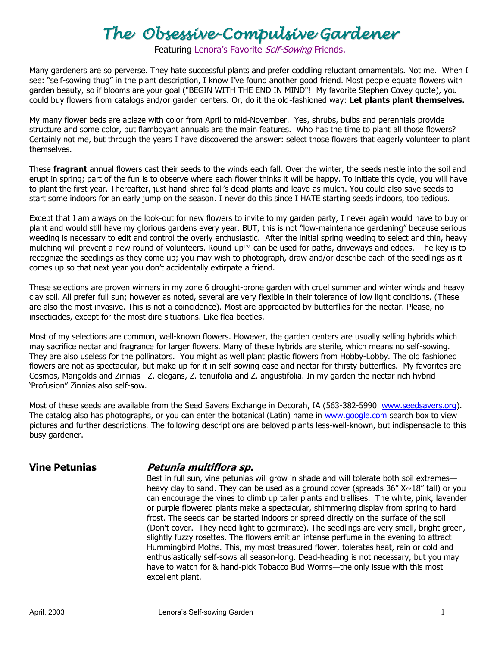## *The Obsessive-Compulsive Gardener*

Featuring Lenora's Favorite Self-Sowing Friends.

Many gardeners are so perverse. They hate successful plants and prefer coddling reluctant ornamentals. Not me. When I see: "self-sowing thug" in the plant description, I know I've found another good friend. Most people equate flowers with garden beauty, so if blooms are your goal ("BEGIN WITH THE END IN MIND"! My favorite Stephen Covey quote), you could buy flowers from catalogs and/or garden centers. Or, do it the old-fashioned way: **Let plants plant themselves.**

My many flower beds are ablaze with color from April to mid-November. Yes, shrubs, bulbs and perennials provide structure and some color, but flamboyant annuals are the main features. Who has the time to plant all those flowers? Certainly not me, but through the years I have discovered the answer: select those flowers that eagerly volunteer to plant themselves.

These **fragrant** annual flowers cast their seeds to the winds each fall. Over the winter, the seeds nestle into the soil and erupt in spring; part of the fun is to observe where each flower thinks it will be happy. To initiate this cycle, you will have to plant the first year. Thereafter, just hand-shred fall's dead plants and leave as mulch. You could also save seeds to start some indoors for an early jump on the season. I never do this since I HATE starting seeds indoors, too tedious.

Except that I am always on the look-out for new flowers to invite to my garden party, I never again would have to buy or plant and would still have my glorious gardens every year. BUT, this is not "low-maintenance gardening" because serious weeding is necessary to edit and control the overly enthusiastic. After the initial spring weeding to select and thin, heavy mulching will prevent a new round of volunteers. Round-up<sup>TM</sup> can be used for paths, driveways and edges. The key is to recognize the seedlings as they come up; you may wish to photograph, draw and/or describe each of the seedlings as it comes up so that next year you don't accidentally extirpate a friend.

These selections are proven winners in my zone 6 drought-prone garden with cruel summer and winter winds and heavy clay soil. All prefer full sun; however as noted, several are very flexible in their tolerance of low light conditions. (These are also the most invasive. This is not a coincidence). Most are appreciated by butterflies for the nectar. Please, no insecticides, except for the most dire situations. Like flea beetles.

Most of my selections are common, well-known flowers. However, the garden centers are usually selling hybrids which may sacrifice nectar and fragrance for larger flowers. Many of these hybrids are sterile, which means no self-sowing. They are also useless for the pollinators. You might as well plant plastic flowers from Hobby-Lobby. The old fashioned flowers are not as spectacular, but make up for it in self-sowing ease and nectar for thirsty butterflies. My favorites are Cosmos, Marigolds and Zinnias—Z. elegans, Z. tenuifolia and Z. angustifolia. In my garden the nectar rich hybrid 'Profusion" Zinnias also self-sow.

Most of these seeds are available from the Seed Savers Exchange in Decorah, IA (563-382-5990 [www.seedsavers.org\)](http://www.seedsavers.org/). The catalog also has photographs, or you can enter the botanical (Latin) name in [www.google.com](http://www.google.com/) search box to view pictures and further descriptions. The following descriptions are beloved plants less-well-known, but indispensable to this busy gardener.

## **Vine Petunias Petunia multiflora sp.**

Best in full sun, vine petunias will grow in shade and will tolerate both soil extremes heavy clay to sand. They can be used as a ground cover (spreads  $36'' X \sim 18''$  tall) or you can encourage the vines to climb up taller plants and trellises. The white, pink, lavender or purple flowered plants make a spectacular, shimmering display from spring to hard frost. The seeds can be started indoors or spread directly on the surface of the soil (Don't cover. They need light to germinate). The seedlings are very small, bright green, slightly fuzzy rosettes. The flowers emit an intense perfume in the evening to attract Hummingbird Moths. This, my most treasured flower, tolerates heat, rain or cold and enthusiastically self-sows all season-long. Dead-heading is not necessary, but you may have to watch for & hand-pick Tobacco Bud Worms—the only issue with this most excellent plant.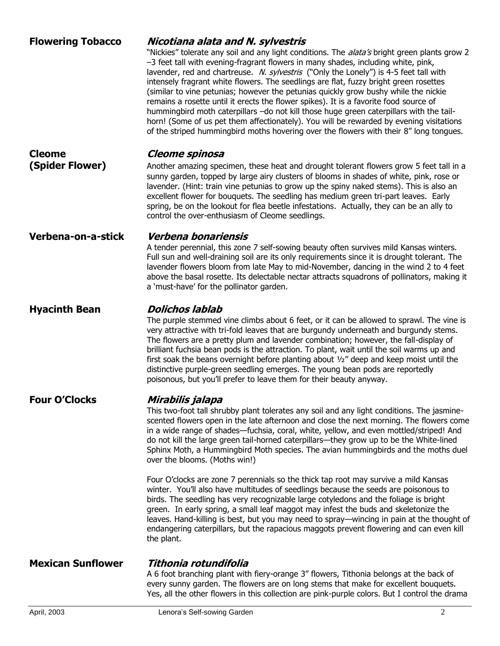| <b>Flowering Tobacco</b> | Nicotiana alata and N. sylvestris<br>"Nickies" tolerate any soil and any light conditions. The <i>alata's</i> bright green plants grow 2<br>-3 feet tall with evening-fragrant flowers in many shades, including white, pink,<br>lavender, red and chartreuse. N. sylvestris ("Only the Lonely") is 4-5 feet tall with<br>intensely fragrant white flowers. The seedlings are flat, fuzzy bright green rosettes<br>(similar to vine petunias; however the petunias quickly grow bushy while the nickie<br>remains a rosette until it erects the flower spikes). It is a favorite food source of<br>hummingbird moth caterpillars -do not kill those huge green caterpillars with the tail-<br>horn! (Some of us pet them affectionately). You will be rewarded by evening visitations<br>of the striped hummingbird moths hovering over the flowers with their 8" long tongues. |
|--------------------------|---------------------------------------------------------------------------------------------------------------------------------------------------------------------------------------------------------------------------------------------------------------------------------------------------------------------------------------------------------------------------------------------------------------------------------------------------------------------------------------------------------------------------------------------------------------------------------------------------------------------------------------------------------------------------------------------------------------------------------------------------------------------------------------------------------------------------------------------------------------------------------|
| <b>Cleome</b>            | Cleome spinosa                                                                                                                                                                                                                                                                                                                                                                                                                                                                                                                                                                                                                                                                                                                                                                                                                                                                  |
| (Spider Flower)          | Another amazing specimen, these heat and drought tolerant flowers grow 5 feet tall in a<br>sunny garden, topped by large airy clusters of blooms in shades of white, pink, rose or<br>lavender. (Hint: train vine petunias to grow up the spiny naked stems). This is also an<br>excellent flower for bouquets. The seedling has medium green tri-part leaves. Early<br>spring, be on the lookout for flea beetle infestations. Actually, they can be an ally to<br>control the over-enthusiasm of Cleome seedlings.                                                                                                                                                                                                                                                                                                                                                            |
| Verbena-on-a-stick       | Verbena bonariensis<br>A tender perennial, this zone 7 self-sowing beauty often survives mild Kansas winters.<br>Full sun and well-draining soil are its only requirements since it is drought tolerant. The<br>lavender flowers bloom from late May to mid-November, dancing in the wind 2 to 4 feet<br>above the basal rosette. Its delectable nectar attracts squadrons of pollinators, making it<br>a 'must-have' for the pollinator garden.                                                                                                                                                                                                                                                                                                                                                                                                                                |
| <b>Hyacinth Bean</b>     | <b>Dolichos lablab</b><br>The purple stemmed vine climbs about 6 feet, or it can be allowed to sprawl. The vine is<br>very attractive with tri-fold leaves that are burgundy underneath and burgundy stems.<br>The flowers are a pretty plum and lavender combination; however, the fall-display of<br>brilliant fuchsia bean pods is the attraction. To plant, wait until the soil warms up and<br>first soak the beans overnight before planting about $\frac{1}{2}$ deep and keep moist until the<br>distinctive purple-green seedling emerges. The young bean pods are reportedly<br>poisonous, but you'll prefer to leave them for their beauty anyway.                                                                                                                                                                                                                    |
| <b>Four O'Clocks</b>     | Mirabilis jalapa<br>This two-foot tall shrubby plant tolerates any soil and any light conditions. The jasmine-<br>scented flowers open in the late afternoon and close the next morning. The flowers come<br>in a wide range of shades—fuchsia, coral, white, yellow, and even mottled/striped! And<br>do not kill the large green tail-horned caterpillars—they grow up to be the White-lined<br>Sphinx Moth, a Hummingbird Moth species. The avian hummingbirds and the moths duel<br>over the blooms. (Moths win!)                                                                                                                                                                                                                                                                                                                                                           |
|                          | Four O'clocks are zone 7 perennials so the thick tap root may survive a mild Kansas<br>winter. You'll also have multitudes of seedlings because the seeds are poisonous to<br>birds. The seedling has very recognizable large cotyledons and the foliage is bright<br>green. In early spring, a small leaf maggot may infest the buds and skeletonize the<br>leaves. Hand-killing is best, but you may need to spray—wincing in pain at the thought of<br>endangering caterpillars, but the rapacious maggots prevent flowering and can even kill<br>the plant.                                                                                                                                                                                                                                                                                                                 |
| <b>Mexican Sunflower</b> | Tithonia rotundifolia                                                                                                                                                                                                                                                                                                                                                                                                                                                                                                                                                                                                                                                                                                                                                                                                                                                           |
|                          | A 6 foot branching plant with fiery-orange 3" flowers, Tithonia belongs at the back of<br>every sunny garden. The flowers are on long stems that make for excellent bouquets.<br>Yes, all the other flowers in this collection are pink-purple colors. But I control the drama                                                                                                                                                                                                                                                                                                                                                                                                                                                                                                                                                                                                  |